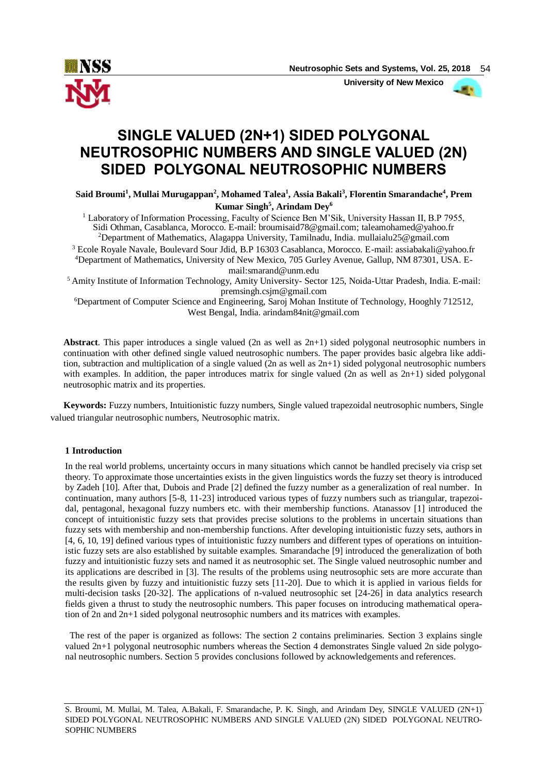

 **University of New Mexico**



# **SINGLE VALUED (2N+1) SIDED POLYGONAL NEUTROSOPHIC NUMBERS AND SINGLE VALUED (2N) SIDED POLYGONAL NEUTROSOPHIC NUMBERS**

**Said Broumi<sup>1</sup> , Mullai Murugappan<sup>2</sup> , Mohamed Talea<sup>1</sup> , Assia Bakali<sup>3</sup> , Florentin Smarandache<sup>4</sup> , Prem Kumar Singh<sup>5</sup> , Arindam Dey<sup>6</sup>**

<sup>1</sup> Laboratory of Information Processing, Faculty of Science Ben M'Sik, University Hassan II, B.P 7955, Sidi Othman, Casablanca, Morocco. E-mail: broumisaid78@gmail.com; taleamohamed@yahoo.fr <sup>2</sup>Department of Mathematics, Alagappa University, Tamilnadu, India. mullaialu25@gmail.com

<sup>3</sup> Ecole Royale Navale, Boulevard Sour Jdid, B.P 16303 Casablanca, Morocco. E-mail: assiabakali@yahoo.fr 4Department of Mathematics, University of New Mexico, 705 Gurley Avenue, Gallup, NM 87301, USA. Email:smarand@unm.edu

<sup>5</sup> Amity Institute of Information Technology, Amity University- Sector 125, Noida-Uttar Pradesh, India. E-mail: premsingh.csjm@gmail.com

<sup>6</sup>Department of Computer Science and Engineering, Saroj Mohan Institute of Technology, Hooghly 712512, West Bengal, India. arindam84nit@gmail.com

**Abstract**. This paper introduces a single valued (2n as well as 2n+1) sided polygonal neutrosophic numbers in continuation with other defined single valued neutrosophic numbers. The paper provides basic algebra like addition, subtraction and multiplication of a single valued (2n as well as  $2n+1$ ) sided polygonal neutrosophic numbers with examples. In addition, the paper introduces matrix for single valued (2n as well as  $2n+1$ ) sided polygonal neutrosophic matrix and its properties.

**Keywords:** Fuzzy numbers, Intuitionistic fuzzy numbers, Single valued trapezoidal neutrosophic numbers, Single valued triangular neutrosophic numbers, Neutrosophic matrix.

## **1 Introduction**

In the real world problems, uncertainty occurs in many situations which cannot be handled precisely via crisp set theory. To approximate those uncertainties exists in the given linguistics words the fuzzy set theory is introduced by Zadeh [10]. After that, Dubois and Prade [2] defined the fuzzy number as a generalization of real number. In continuation, many authors [5-8, 11-23] introduced various types of fuzzy numbers such as triangular, trapezoidal, pentagonal, hexagonal fuzzy numbers etc. with their membership functions. Atanassov [1] introduced the concept of intuitionistic fuzzy sets that provides precise solutions to the problems in uncertain situations than fuzzy sets with membership and non-membership functions. After developing intuitionistic fuzzy sets, authors in [4, 6, 10, 19] defined various types of intuitionistic fuzzy numbers and different types of operations on intuitionistic fuzzy sets are also established by suitable examples. Smarandache [9] introduced the generalization of both fuzzy and intuitionistic fuzzy sets and named it as neutrosophic set. The Single valued neutrosophic number and its applications are described in [3]. The results of the problems using neutrosophic sets are more accurate than the results given by fuzzy and intuitionistic fuzzy sets [11-20]. Due to which it is applied in various fields for multi-decision tasks [20-32]. The applications of n-valued neutrosophic set [24-26] in data analytics research fields given a thrust to study the neutrosophic numbers. This paper focuses on introducing mathematical operation of 2n and 2n+1 sided polygonal neutrosophic numbers and its matrices with examples.

 The rest of the paper is organized as follows: The section 2 contains preliminaries. Section 3 explains single valued 2n+1 polygonal neutrosophic numbers whereas the Section 4 demonstrates Single valued 2n side polygonal neutrosophic numbers. Section 5 provides conclusions followed by acknowledgements and references.

S. Broumi, M. Mullai, M. Talea, A.Bakali, F. Smarandache, P. K. Singh, and Arindam Dey, SINGLE VALUED (2N+1) SIDED POLYGONAL NEUTROSOPHIC NUMBERS AND SINGLE VALUED (2N) SIDED POLYGONAL NEUTRO-SOPHIC NUMBERS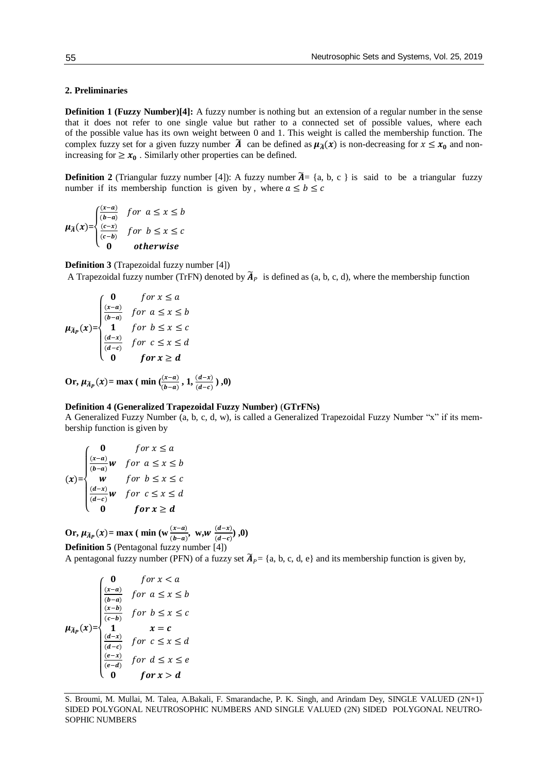## **2. Preliminaries**

**Definition 1 (Fuzzy Number)[4]:** A fuzzy number is nothing but an extension of a regular number in the sense that it does not refer to one single value but rather to a connected set of possible values, where each of the possible value has its own weight between 0 and 1. This weight is called the membership function. The complex fuzzy set for a given fuzzy number  $\tilde{A}$  can be defined as  $\mu_{\tilde{A}}(x)$  is non-decreasing for  $x \le x_0$  and nonincreasing for  $\geq x_0$ . Similarly other properties can be defined.

**Definition** 2 (Triangular fuzzy number [4]): A fuzzy number  $\tilde{A} = \{a, b, c\}$  is said to be a triangular fuzzy number if its membership function is given by, where  $a \le b \le c$ 

$$
\mu_{\overline{A}}(x) = \begin{cases} \frac{(x-a)}{(b-a)} & \text{for } a \le x \le b \\ \frac{(c-x)}{(c-b)} & \text{for } b \le x \le c \\ 0 & \text{otherwise} \end{cases}
$$

**Definition 3** (Trapezoidal fuzzy number [4])

A Trapezoidal fuzzy number (TrFN) denoted by  $\widetilde{A}_P$  is defined as (a, b, c, d), where the membership function

$$
\mu_{\bar{A}p}(x) = \begin{cases}\n0 & \text{for } x \le a \\
\frac{(x-a)}{(b-a)} & \text{for } a \le x \le b \\
1 & \text{for } b \le x \le c \\
\frac{(d-x)}{(d-c)} & \text{for } c \le x \le d \\
0 & \text{for } x \ge d\n\end{cases}
$$

**Or,**  $\mu_{\widetilde{A}_P}(x) = \max (\min(\frac{(x-a)}{(b-a)}, 1, \frac{(d-x)}{(d-c)}), 0)$ 

## **Definition 4 (Generalized Trapezoidal Fuzzy Number)** (**GTrFNs)**

A Generalized Fuzzy Number (a, b, c, d, w), is called a Generalized Trapezoidal Fuzzy Number "x" if its membership function is given by

$$
(x)=\begin{cases}\n0 & \text{for } x \le a \\
\frac{(x-a)}{(b-a)}w & \text{for } a \le x \le b \\
w & \text{for } b \le x \le c \\
\frac{(d-x)}{(d-c)}w & \text{for } c \le x \le d \\
0 & \text{for } x \ge d\n\end{cases}
$$

**Or,**  $\mu_{\bar{A}_P}(x) = \max$  (  $\min_{b} (\mathbf{w} \frac{(x-a)}{(b-a)}, \mathbf{w}, \mathbf{w} \frac{(d-x)}{(d-c)})$  $\frac{(u-x)}{(d-c)}$ , 0) **Definition 5** (Pentagonal fuzzy number [4])

A pentagonal fuzzy number (PFN) of a fuzzy set  $\widetilde{A}_P = \{a, b, c, d, e\}$  and its membership function is given by,

$$
\mu_{\tilde{A}_P}(x) = \begin{cases}\n0 & \text{for } x < a \\
\frac{(x-a)}{(b-a)} & \text{for } a \le x \le b \\
\frac{(x-b)}{(c-b)} & \text{for } b \le x \le c \\
1 & x = c \\
\frac{(d-x)}{(d-c)} & \text{for } c \le x \le d \\
\frac{(e-x)}{(e-d)} & \text{for } d \le x \le e \\
0 & \text{for } x > d\n\end{cases}
$$

S. Broumi, M. Mullai, M. Talea, A.Bakali, F. Smarandache, P. K. Singh, and Arindam Dey, SINGLE VALUED (2N+1) SIDED POLYGONAL NEUTROSOPHIC NUMBERS AND SINGLE VALUED (2N) SIDED POLYGONAL NEUTRO-SOPHIC NUMBERS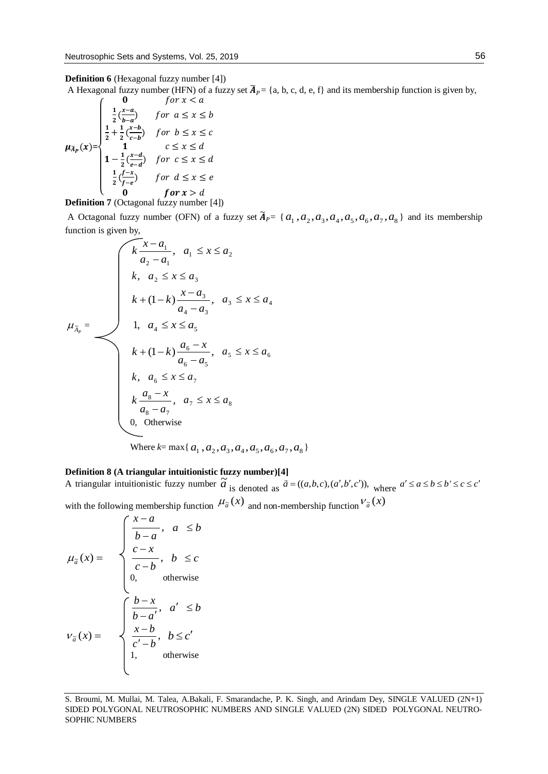A Hexagonal fuzzy number (HFN) of a fuzzy set  $\tilde{A}_P = \{a, b, c, d, e, f\}$  and its membership function is given by,

$$
\mu_{\lambda_p}(x) = \begin{cases}\n0 & \text{for } x < a \\
\frac{1}{2} \left( \frac{x-a}{b-a} \right) & \text{for } a \le x \le b \\
\frac{1}{2} + \frac{1}{2} \left( \frac{x-b}{c-b} \right) & \text{for } b \le x \le c \\
1 & \text{if } c \le x \le d \\
1 - \frac{1}{2} \left( \frac{x-a}{e-a} \right) & \text{for } c \le x \le d \\
\frac{1}{2} \left( \frac{f-x}{f-e} \right) & \text{for } d \le x \le e \\
0 & \text{for } x > d\n\end{cases}
$$

**Definition 7** (Octagonal fuzzy number [4])

A Octagonal fuzzy number (OFN) of a fuzzy set  $\tilde{A}_P = \{a_1, a_2, a_3, a_4, a_5, a_6, a_7, a_8\}$  and its membership function is given by,

$$
\mu_{\tilde{A}_P} = \n\begin{cases}\n\overbrace{k \ x - a_1}_{a_2 - a_1}, & a_1 \leq x \leq a_2 \\
k, & a_2 \leq x \leq a_3 \\
k + (1 - k) \frac{x - a_3}{a_4 - a_3}, & a_3 \leq x \leq a_4 \\
1, & a_4 \leq x \leq a_5 \\
k + (1 - k) \frac{a_6 - x}{a_6 - a_5}, & a_5 \leq x \leq a_6 \\
k, & a_6 \leq x \leq a_7 \\
k \frac{a_8 - x}{a_8 - a_7}, & a_7 \leq x \leq a_8 \\
0, & \text{Otherwise} \\
\text{Where } k = \max\{a_1, a_2, a_3, a_4, a_5, a_6, a_7, a_8\}\n\end{cases}
$$

## **Definition 8 (A triangular intuitionistic fuzzy number)[4]**

A triangular intuitionistic fuzzy number  $\tilde{a}$  is denoted as  $\tilde{a} = ((a,b,c),(a',b',c'))$ , where  $a' \le a \le b \le b' \le c \le c'$ with the following membership function  $\mu_{\tilde{a}}(x)$  and non-membership function  $V_{\tilde{a}}(x)$ 

$$
\mu_{\tilde{a}}(x) = \begin{cases}\n\frac{x-a}{b-a}, & a \leq b \\
\frac{c-x}{c-b}, & b \leq c \\
0, & \text{otherwise}\n\end{cases}
$$
\n
$$
v_{\tilde{a}}(x) = \begin{cases}\n\frac{b-x}{b-a'}, & a' \leq b \\
\frac{x-b}{c'-b}, & b \leq c' \\
1, & \text{otherwise}\n\end{cases}
$$

S. Broumi, M. Mullai, M. Talea, A.Bakali, F. Smarandache, P. K. Singh, and Arindam Dey, SINGLE VALUED (2N+1) SIDED POLYGONAL NEUTROSOPHIC NUMBERS AND SINGLE VALUED (2N) SIDED POLYGONAL NEUTRO-SOPHIC NUMBERS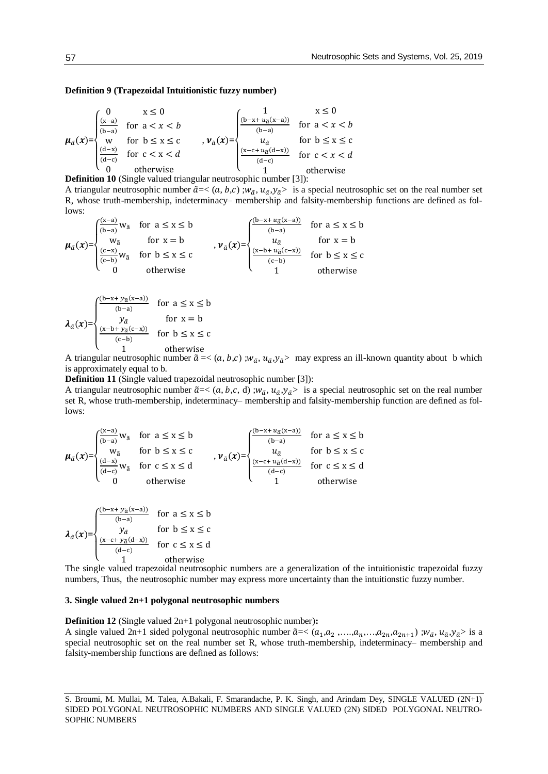## **Definition 9 (Trapezoidal Intuitionistic fuzzy number)**

$$
\mu_{\tilde{a}}(x) = \begin{cases}\n0 & x \le 0 \\
\frac{(x-a)}{(b-a)} & \text{for } a < x < b \\
\frac{(d-x)}{(d-c)} & \text{for } b \le x \le c \\
0 & \text{otherwise}\n\end{cases}, \quad \nu_{\tilde{a}}(x) = \begin{cases}\n1 & x \le 0 \\
\frac{(b-x+u_{\tilde{a}}(x-a))}{(b-a)} & \text{for } a < x < b \\
u_{\tilde{a}} & \text{for } b \le x \le c \\
\frac{(x-c+u_{\tilde{a}}(d-x))}{(d-c)} & \text{for } c < x < d\n\end{cases}
$$
\n
$$
\sum_{n=0}^{\infty} \frac{1}{n!} \int_{0}^{\infty} \frac{1}{(d-c)^n} \int_{0}^{\infty} \frac{1}{(d-c)^n} \frac{1}{(d-c)^n} \int_{0}^{\infty} \frac{1}{(d-c)^n} \frac{1}{(d-c)^n} \frac{1}{(d-c)^n} \frac{1}{(d-c)^n} \frac{1}{(d-c)^n} \frac{1}{(d-c)^n}
$$

**Definition 10** (Single valued triangular neutrosophic number [3]):

A triangular neutrosophic number  $\tilde{a} = < (a, b, c)$ ;  $w_{\tilde{a}}$ ,  $u_{\tilde{a}}$ ,  $y_{\tilde{a}}$  is a special neutrosophic set on the real number set R, whose truth-membership, indeterminacy– membership and falsity-membership functions are defined as follows:

$$
\mu_{\tilde{a}}(x) = \begin{cases}\n\frac{(x-a)}{(b-a)}w_{\tilde{a}} & \text{for } a \le x \le b \\
w_{\tilde{a}} & \text{for } x = b \\
\frac{(c-x)}{(c-b)}w_{\tilde{a}} & \text{for } b \le x \le c \\
0 & \text{otherwise}\n\end{cases}, \quad\n\nu_{\tilde{a}}(x) = \begin{cases}\n\frac{(b-x + u_{\tilde{a}}(x-a))}{(b-a)} & \text{for } a \le x \le b \\
u_{\tilde{a}} & \text{for } x = b \\
\frac{(x-b + u_{\tilde{a}}(c-x))}{(c-b)} & \text{for } b \le x \le c \\
1 & \text{otherwise}\n\end{cases}
$$

$$
\lambda_{\tilde{\alpha}}(x) = \begin{cases}\n\frac{(b-x+y_{\tilde{\alpha}}(x-a))}{(b-a)} & \text{for } a \le x \le b \\
y_{\tilde{\alpha}} & \text{for } x = b \\
\frac{(x-b+y_{\tilde{\alpha}}(c-x))}{(c-b)} & \text{for } b \le x \le c \\
1 & \text{otherwise}\n\end{cases}
$$

A triangular neutrosophic number  $\tilde{a} = \langle (a, b, c) ; w_{\tilde{a}}, u_{\tilde{a}}, y_{\tilde{a}} \rangle$  may express an ill-known quantity about b which is approximately equal to b.

**Definition 11** (Single valued trapezoidal neutrosophic number [3]):

A triangular neutrosophic number  $\tilde{a} = < (a, b, c, d)$ ;  $w_{\tilde{a}}$ ,  $u_{\tilde{a}}$ ,  $y_{\tilde{a}}$  is a special neutrosophic set on the real number set R, whose truth-membership, indeterminacy– membership and falsity-membership function are defined as follows:

$$
\mu_{\tilde{a}}(x) = \begin{cases}\n\frac{(x-a)}{(b-a)}w_{\tilde{a}} & \text{for } a \le x \le b \\
w_{\tilde{a}} & \text{for } b \le x \le c \\
\frac{(d-x)}{(d-c)}w_{\tilde{a}} & \text{for } c \le x \le d \\
0 & \text{otherwise}\n\end{cases}, \quad \nu_{\tilde{a}}(x) = \begin{cases}\n\frac{(b-x+u_{\tilde{a}}(x-a))}{(b-a)} & \text{for } a \le x \le b \\
u_{\tilde{a}} & \text{for } b \le x \le c \\
\frac{(x-c+u_{\tilde{a}}(d-x))}{(d-c)} & \text{for } c \le x \le d \\
1 & \text{otherwise}\n\end{cases}
$$

$$
\lambda_{\tilde{a}}(x) = \begin{cases}\n\frac{(b-x+y_{\tilde{a}}(x-a))}{(b-a)} & \text{for } a \leq x \leq b \\
y_{\tilde{a}} & \text{for } b \leq x \leq c \\
\frac{(x-c+y_{\tilde{a}}(d-x))}{(d-c)} & \text{for } c \leq x \leq d \\
1 & \text{otherwise}\n\end{cases}
$$

The single valued trapezoidal neutrosophic numbers are a generalization of the intuitionistic trapezoidal fuzzy numbers, Thus, the neutrosophic number may express more uncertainty than the intuitionstic fuzzy number.

#### **3. Single valued 2n+1 polygonal neutrosophic numbers**

**Definition 12** (Single valued 2n+1 polygonal neutrosophic number)**:** 

A single valued 2n+1 sided polygonal neutrosophic number  $\tilde{a} < (a_1, a_2, \ldots, a_n, \ldots, a_{2n}, a_{2n+1})$ ;  $w_{\tilde{a}}$ ,  $u_{\tilde{a}}$ ,  $y_{\tilde{a}}$  is a special neutrosophic set on the real number set R, whose truth-membership, indeterminacy– membership and falsity-membership functions are defined as follows:

S. Broumi, M. Mullai, M. Talea, A.Bakali, F. Smarandache, P. K. Singh, and Arindam Dey, SINGLE VALUED (2N+1) SIDED POLYGONAL NEUTROSOPHIC NUMBERS AND SINGLE VALUED (2N) SIDED POLYGONAL NEUTRO-SOPHIC NUMBERS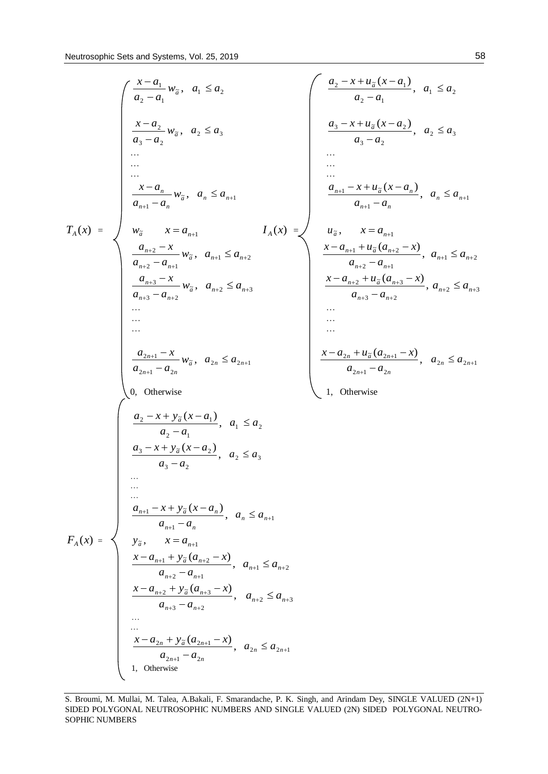$$
T_{A}(x) = \begin{cases} \frac{x-a_{1}}{a_{2}-a_{1}}w_{a}, & a_{1} \leq a_{2} \\ \frac{x-a_{2}}{a_{3}-a_{2}}w_{a}, & a_{2} \leq a_{3} \\ \frac{x-a_{2}}{a_{3}-a_{2}}w_{a}, & a_{2} \leq a_{3} \\ \frac{x-a_{n}}{a_{n+1}-a_{n}}w_{a}, & a_{n} \leq a_{n+1} \\ \frac{x-a_{n}}{a_{n+1}-a_{n}}w_{a}, & a_{n} \leq a_{n+1} \\ \frac{a_{n+2}-x}{a_{n+2}-a_{n+1}}w_{a}, & a_{n+1} \leq a_{n+2} \\ \frac{a_{n+2}-x}{a_{n+2}-a_{n+2}}w_{a}, & a_{n+2} \leq a_{n+3} \\ \frac{x-a_{n+1}}{a_{n+2}-a_{n+2}}w_{a}, & a_{n+2} \leq a_{n+3} \\ \frac{x-a_{n+1}+u_{2}(a_{n+2}-x)}{a_{n+2}-a_{n+1}}, & a_{n+2} \leq a_{n+3} \\ \frac{x-a_{n+1}+u_{3}(a_{n+2}-x)}{a_{n+3}-a_{n+2}}, & a_{n+2} \leq a_{n+3} \\ \frac{x-a_{n+1}+u_{3}(a_{n+2}-x)}{a_{n+3}-a_{n+2}}, & a_{n+2} \leq a_{n+3} \\ \frac{x-a_{n+1}+u_{3}(a_{n+3}-x)}{a_{n+3}-a_{n+2}}, & a_{n+2} \leq a_{n+3} \\ \frac{x-a_{n+1}+u_{3}(a_{n+3}-x)}{a_{n+3}-a_{n+2}}, & a_{1} \leq a_{2} \\ \frac{a_{2}-x+y_{2}(x-a_{1})}{a_{2}-a_{2}}, & a_{2} \leq a_{3} \\ \frac{a_{3}-x+y_{3}(x-a_{n})}{a_{3}-a_{2}}, & a_{n} \leq a_{n+1} \\ \frac{x-a_{n+1}+y_{3}(x-a_{n})}{a_{n+3}-a_{n+2}}, & a_{n+2} \leq a_{n+3} \\ \frac{x-a_{n+2}+y_{3}(a_{n+2}-x)}{a_{n+2}-a_{n+2}}, & a_{n+2} \leq a_{n+3} \\ \frac{x-a_{n
$$

S. Broumi, M. Mullai, M. Talea, A.Bakali, F. Smarandache, P. K. Singh, and Arindam Dey, SINGLE VALUED (2N+1) SIDED POLYGONAL NEUTROSOPHIC NUMBERS AND SINGLE VALUED (2N) SIDED POLYGONAL NEUTRO-SOPHIC NUMBERS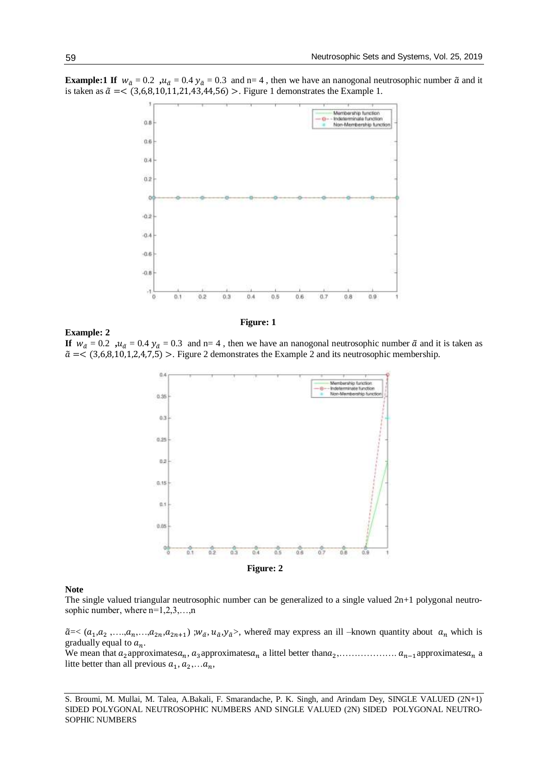



**Example: 2**

 **Figure: 1**

**If**  $w_{\tilde{a}} = 0.2$ ,  $u_{\tilde{a}} = 0.4$ ,  $y_{\tilde{a}} = 0.3$  and n= 4, then we have an nanogonal neutrosophic number  $\tilde{a}$  and it is taken as  $\tilde{a}$  =< (3,6,8,10,1,2,4,7,5) >. Figure 2 demonstrates the Example 2 and its neutrosophic membership.



#### **Note**

The single valued triangular neutrosophic number can be generalized to a single valued 2n+1 polygonal neutrosophic number, where  $n=1,2,3,...,n$ 

 $\tilde{a}$  =<  $(a_1, a_2, \ldots, a_n, \ldots, a_{2n}, a_{2n+1})$ ;  $w_{\tilde{a}}, u_{\tilde{a}}, y_{\tilde{a}}$ , where  $\tilde{a}$  may express an ill -known quantity about  $a_n$  which is gradually equal to  $a_n$ .

We mean that 2approximates, 3approximates a littel better than<sup>2</sup> ,………………. −1approximates a litte better than all previous  $a_1, a_2,...a_n$ ,

S. Broumi, M. Mullai, M. Talea, A.Bakali, F. Smarandache, P. K. Singh, and Arindam Dey, SINGLE VALUED (2N+1) SIDED POLYGONAL NEUTROSOPHIC NUMBERS AND SINGLE VALUED (2N) SIDED POLYGONAL NEUTRO-SOPHIC NUMBERS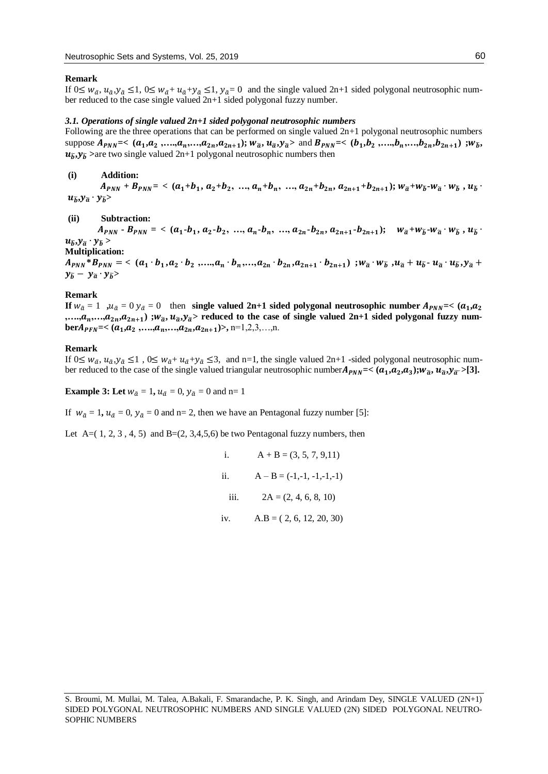#### **Remark**

If  $0 \leq w_{\tilde{a}}$ ,  $u_{\tilde{a}}$ ,  $y_{\tilde{a}} \leq 1$ ,  $0 \leq w_{\tilde{a}} + u_{\tilde{a}} + y_{\tilde{a}} \leq 1$ ,  $y_{\tilde{a}} = 0$  and the single valued  $2n+1$  sided polygonal neutrosophic number reduced to the case single valued 2n+1 sided polygonal fuzzy number.

#### *3.1. Operations of single valued 2n+1 sided polygonal neutrosophic numbers*

Following are the three operations that can be performed on single valued 2n+1 polygonal neutrosophic numbers suppose  $A_{PNN} = \langle (a_1, a_2, \ldots, a_n, \ldots, a_{2n}, a_{2n+1}); w_{\tilde{a}}, u_{\tilde{a}}, y_{\tilde{a}} \rangle$  and  $B_{PNN} = \langle (b_1, b_2, \ldots, b_n, \ldots, b_{2n}, b_{2n+1})]; w_{\tilde{b}},$  $u_{\tilde{h}}$ , $y_{\tilde{h}}$  >are two single valued 2n+1 polygonal neutrosophic numbers then

#### **(i) Addition:**

 $A_{PNN} + B_{PNN} = \langle (a_1 + b_1, a_2 + b_2, ..., a_n + b_n, ..., a_{2n} + b_{2n}, a_{2n+1} + b_{2n+1}); w_{\tilde{a}} + w_{\tilde{b}} \cdot w_{\tilde{a}} \cdot w_{\tilde{b}} , u_{\tilde{b}} \rangle$  $u_{\tilde{b}}$ <sup>*,y* $_{\tilde{a}}$ </sup> ·  $y_{\tilde{b}}$ >

#### **(ii) Subtraction:**

 $A_{PNN}$  **-**  $B_{PNN}$  = <  $(a_1 \cdot b_1, a_2 \cdot b_2, ..., a_n \cdot b_n, ..., a_{2n} \cdot b_{2n}, a_{2n+1} \cdot b_{2n+1}); \quad w_{\tilde{a}} + w_{\tilde{b}} \cdot w_{\tilde{a}} \cdot w_{\tilde{b}}$  $u_{\tilde{b}}$ , $y_{\tilde{a}} \cdot y_{\tilde{b}}$  >

**Multiplication:**

 $A_{PNN} * B_{PNN} = \langle (a_1 \cdot b_1, a_2 \cdot b_2, ..., a_n \cdot b_n, ..., a_{2n} \cdot b_{2n}, a_{2n+1} \cdot b_{2n+1}) ; w_{\tilde{a}} \cdot w_{\tilde{b}}, u_{\tilde{a}} + u_{\tilde{b}} \cdot u_{\tilde{a}} \cdot u_{\tilde{b}}, y_{\tilde{a}} + ... \rangle$  $y_{\tilde{b}} - y_{\tilde{a}} \cdot y_{\tilde{b}}$ 

#### **Remark**

**If**  $w_{\tilde{a}} = 1$  ,  $u_{\tilde{a}} = 0$   $y_{\tilde{a}} = 0$  then **single valued 2n+1 sided polygonal neutrosophic number A\_{PNN} = \langle (a\_1, a\_2), (a\_1, a\_2), (a\_2, a\_1), (a\_2, a\_2), (a\_1, a\_2), (a\_2, a\_2), (a\_2, a\_2), (a\_2, a\_1), (a\_2, a\_2), (a\_1, a\_2), (a\_2, a\_2), (a\_** ,…., $a_n$ ,…, $a_{2n}$ , $a_{2n+1}$ ) ; $w_{\widetilde{a}}, u_{\widetilde{a}}$ , $y_{\widetilde{a}}$ > reduced to the case of single valued 2n+1 sided polygonal fuzzy num**ber** $A_{PFN}$ =< ( $a_1, a_2, \ldots, a_n, \ldots, a_{2n}, a_{2n+1}$ )>, n=1,2,3,...,n.

#### **Remark**

If  $0 \leq w_{\tilde{a}}$ ,  $u_{\tilde{a}}$ ,  $y_{\tilde{a}} \leq 1$ ,  $0 \leq w_{\tilde{a}} + u_{\tilde{a}} + y_{\tilde{a}} \leq 3$ , and n=1, the single valued  $2n+1$  -sided polygonal neutrosophic number reduced to the case of the single valued triangular neutrosophic number $A_{PNN}$ =<  $(a_1, a_2, a_3)$ ; $w_{\tilde{a}}, u_{\tilde{a}}, y_{\tilde{a}} >$ [3].

**Example 3:** Let  $w_{\tilde{a}} = 1$ ,  $u_{\tilde{a}} = 0$ ,  $y_{\tilde{a}} = 0$  and n= 1

If  $w_{\tilde{a}} = 1$ ,  $u_{\tilde{a}} = 0$ ,  $y_{\tilde{a}} = 0$  and n= 2, then we have an Pentagonal fuzzy number [5]:

Let A= $(1, 2, 3, 4, 5)$  and B= $(2, 3, 4, 5, 6)$  be two Pentagonal fuzzy numbers, then

i.  $A + B = (3, 5, 7, 9, 11)$ ii.  $A - B = (-1,-1,-1,-1,-1)$ iii.  $2A = (2, 4, 6, 8, 10)$ iv.  $A.B = (2, 6, 12, 20, 30)$ 

S. Broumi, M. Mullai, M. Talea, A.Bakali, F. Smarandache, P. K. Singh, and Arindam Dey, SINGLE VALUED (2N+1) SIDED POLYGONAL NEUTROSOPHIC NUMBERS AND SINGLE VALUED (2N) SIDED POLYGONAL NEUTRO-SOPHIC NUMBERS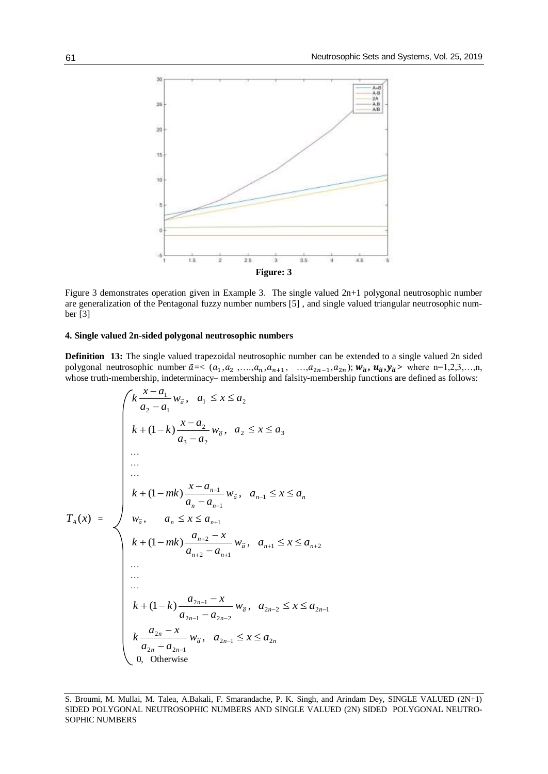

Figure 3 demonstrates operation given in Example 3. The single valued 2n+1 polygonal neutrosophic number are generalization of the Pentagonal fuzzy number numbers [5] , and single valued triangular neutrosophic number [3]

#### **4. Single valued 2n-sided polygonal neutrosophic numbers**

**Definition 13:** The single valued trapezoidal neutrosophic number can be extended to a single valued 2n sided polygonal neutrosophic number  $\tilde{a} \ll (a_1, a_2, \ldots, a_n, a_{n+1}, \ldots, a_{2n-1}, a_{2n})$ ;  $w_{\tilde{a}}$ ,  $w_{\tilde{a}}$ ,  $y_{\tilde{a}}$  where n=1,2,3,...,n, whose truth-membership, indeterminacy– membership and falsity-membership functions are defined as follows:

$$
T_A(x) = \begin{cases} k \frac{x - a_1}{a_2 - a_1} w_{\tilde{a}}, & a_1 \le x \le a_2 \\ k + (1 - k) \frac{x - a_2}{a_3 - a_2} w_{\tilde{a}}, & a_2 \le x \le a_3 \\ \dots \\ \dots \\ k + (1 - mk) \frac{x - a_{n-1}}{a_n - a_{n-1}} w_{\tilde{a}}, & a_{n-1} \le x \le a_n \\ w_{\tilde{a}}, & a_n \le x \le a_{n+1} \\ k + (1 - mk) \frac{a_{n+2} - x}{a_{n+2} - a_{n+1}} w_{\tilde{a}}, & a_{n+1} \le x \le a_{n+2} \\ \dots \\ \dots \\ k + (1 - k) \frac{a_{2n-1} - x}{a_{2n-1} - a_{2n-2}} w_{\tilde{a}}, & a_{2n-2} \le x \le a_{2n-1} \\ k \frac{a_{2n} - x}{a_{2n} - a_{2n-1}} w_{\tilde{a}}, & a_{2n-1} \le x \le a_{2n} \\ 0, & \text{Otherwise} \end{cases}
$$

S. Broumi, M. Mullai, M. Talea, A.Bakali, F. Smarandache, P. K. Singh, and Arindam Dey, SINGLE VALUED (2N+1) SIDED POLYGONAL NEUTROSOPHIC NUMBERS AND SINGLE VALUED (2N) SIDED POLYGONAL NEUTRO-SOPHIC NUMBERS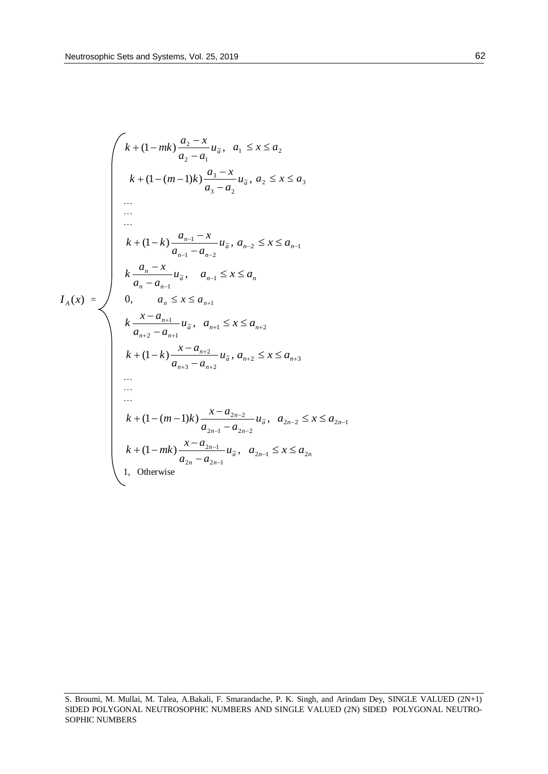$$
k + (1 - mk) \frac{a_2 - x}{a_2 - a_1} u_{\tilde{a}}, \quad a_1 \le x \le a_2
$$
\n
$$
k + (1 - (m - 1)k) \frac{a_3 - x}{a_3 - a_2} u_{\tilde{a}}, \quad a_2 \le x \le a_3
$$
\n...\n...\n
$$
k + (1 - k) \frac{a_{n-1} - x}{a_{n-1} - a_{n-2}} u_{\tilde{a}}, \quad a_{n-2} \le x \le a_{n-1}
$$
\n...\n
$$
k + (1 - k) \frac{a_{n-1} - x}{a_{n-1} - a_{n-2}} u_{\tilde{a}}, \quad a_{n-2} \le x \le a_{n-1}
$$
\n
$$
k \frac{a_n - x}{a_n - a_{n-1}} u_{\tilde{a}}, \quad a_{n-1} \le x \le a_n
$$
\n
$$
l_A(x) = \n\begin{cases}\n\frac{x - a_{n+1}}{a_n - a_{n-1}} u_{\tilde{a}}, & a_{n+1} \le x \le a_{n+2} \\
\frac{x - a_{n+1}}{a_{n+2} - a_{n+1}} u_{\tilde{a}}, & a_{n+2} \le x \le a_{n+3}\n\end{cases}
$$
\n...\n...\n...\n
$$
k + (1 - (m - 1)k) \frac{x - a_{2n-2}}{a_{2n-1} - a_{2n-2}} u_{\tilde{a}}, \quad a_{2n-2} \le x \le a_{2n-1}
$$
\n
$$
k + (1 - mk) \frac{x - a_{2n-1}}{a_{2n} - a_{2n-1}} u_{\tilde{a}}, \quad a_{2n-1} \le x \le a_{2n}
$$
\n1, Otherwise

S. Broumi, M. Mullai, M. Talea, A.Bakali, F. Smarandache, P. K. Singh, and Arindam Dey, SINGLE VALUED (2N+1) SIDED POLYGONAL NEUTROSOPHIC NUMBERS AND SINGLE VALUED (2N) SIDED POLYGONAL NEUTRO-SOPHIC NUMBERS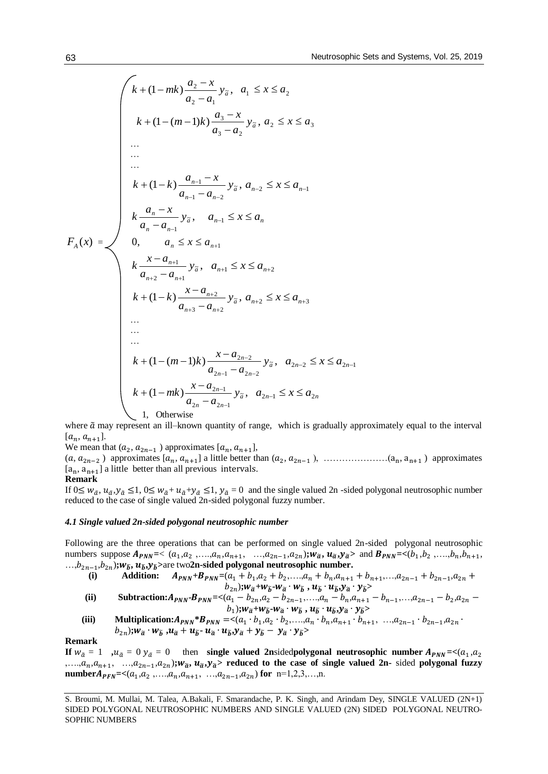$$
k + (1 - mk) \frac{a_2 - x}{a_2 - a_1} y_{\tilde{a}}, \quad a_1 \le x \le a_2
$$
\n
$$
k + (1 - (m - 1)k) \frac{a_3 - x}{a_3 - a_2} y_{\tilde{a}}, \quad a_2 \le x \le a_3
$$
\n...\n...\n...\n
$$
k + (1 - k) \frac{a_{n-1} - x}{a_{n-1} - a_{n-2}} y_{\tilde{a}}, \quad a_{n-2} \le x \le a_{n-1}
$$
\n
$$
k + (1 - k) \frac{a_{n-1} - x}{a_{n-1} - a_{n-2}} y_{\tilde{a}}, \quad a_{n-2} \le x \le a_{n-1}
$$
\n
$$
k \frac{a_n - x}{a_n - a_{n-1}} y_{\tilde{a}}, \quad a_{n+1} \le x \le a_n
$$
\n
$$
k + (1 - k) \frac{x - a_{n+1}}{a_{n+2} - a_{n+1}} y_{\tilde{a}}, \quad a_{n+2} \le x \le a_{n+3}
$$
\n...\n...\n...\n...\n...\n
$$
k + (1 - (m - 1)k) \frac{x - a_{2n-2}}{a_{2n-1} - a_{2n-2}} y_{\tilde{a}}, \quad a_{2n-2} \le x \le a_{2n-1}
$$
\n
$$
k + (1 - (m - 1)k) \frac{x - a_{2n-2}}{a_{2n-1} - a_{2n-2}} y_{\tilde{a}}, \quad a_{2n-1} \le x \le a_{2n}
$$
\n1, Otherwise

where  $\tilde{a}$  may represent an ill–known quantity of range, which is gradually approximately equal to the interval  $[a_n, a_{n+1}].$ 

We mean that  $(a_2, a_{2n-1})$  approximates  $[a_n, a_{n+1}]$ ,

 $(a, a_{2n-2})$  approximates  $[a_n, a_{n+1}]$  a little better than  $(a_2, a_{2n-1})$ , …………………… $(a_n, a_{n+1})$  approximates  $[a_n, a_{n+1}]$  a little better than all previous intervals.

#### **Remark**

If  $0 \leq w_{\tilde{a}}$ ,  $u_{\tilde{a}}$ ,  $y_{\tilde{a}} \leq 1$ ,  $0 \leq w_{\tilde{a}} + u_{\tilde{a}} + y_{\tilde{a}} \leq 1$ ,  $y_{\tilde{a}} = 0$  and the single valued 2n -sided polygonal neutrosophic number reduced to the case of single valued 2n-sided polygonal fuzzy number.

#### *4.1 Single valued 2n-sided polygonal neutrosophic number*

Following are the three operations that can be performed on single valued 2n-sided polygonal neutrosophic numbers suppose  $A_{PNN} = \langle (a_1, a_2, ..., a_n, a_{n+1}, ..., a_{2n-1}, a_{2n}); w_{\tilde{a}}, u_{\tilde{a}}, v_{\tilde{a}} \rangle$  and  $B_{PNN} = \langle (b_1, b_2, ..., b_n, b_{n+1}, ..., b_n, b_n, a_{n+1}, ..., a_{2n-1}, a_{2n}) \rangle$ …,2−1 ,2)**;**̃**,** ̃**,**̃**>**are two**2n-sided polygonal neutrosophic number.**

(i) Addition: 
$$
A_{PNN}+B_{PNN}=(a_1+b_1,a_2+b_2,...,a_n+b_n,a_{n+1}+b_{n+1},...,a_{2n-1}+b_{2n-1},a_{2n}+b_{2n})
$$
;  
 $W_{\tilde{a}}+W_{\tilde{b}}\cdot W_{\tilde{a}}\cdot W_{\tilde{b}}$ ,  $U_{\tilde{b}}\cdot U_{\tilde{b}}\cdot V_{\tilde{a}}\cdot Y_{\tilde{b}}>$ 

- (ii) **Subtraction:**  $A_{PNN}$ **-** $B_{PNN}$ **=<** $(a_1 b_{2n}, a_2 b_{2n-1},..., a_n b_n, a_{n+1} b_{n-1},..., a_{2n-1} b_2, a_{2n} b_1, a_{2n-1} b_1, a_{2n-1} b_2, a_2 b_2, a_1 b_2, a_2 b_2$  $\langle b_1 \rangle$ ; $W_{\widetilde{a}} + W_{\widetilde{b}} - W_{\widetilde{a}} \cdot W_{\widetilde{b}} \cdot W_{\widetilde{b}}$ ,  $u_{\widetilde{b}} \cdot u_{\widetilde{b}}$ , $y_{\widetilde{a}} \cdot y_{\widetilde{b}}$
- (iii) **Multiplication:** $A_{PNN} * B_{PNN} = \langle (a_1 \cdot b_1, a_2 \cdot b_2, \ldots, a_n \cdot b_n, a_{n+1} \cdot b_{n+1}, \ldots, a_{2n-1} \cdot b_{2n-1}, a_{2n} \cdot b_{2n-1} \rangle$  $\langle b_{2n}\rangle$ ; $w_{\tilde{a}} \cdot w_{\tilde{b}}$ , $u_{\tilde{a}} + u_{\tilde{b}} \cdot u_{\tilde{a}} \cdot u_{\tilde{b}}$ , $y_{\tilde{a}} + y_{\tilde{b}} - y_{\tilde{a}} \cdot y_{\tilde{b}}\rangle$

**Remark**

**If**  $w_{\tilde{a}} = 1$  ,  $u_{\tilde{a}} = 0$   $y_{\tilde{a}} = 0$  then **single valued 2n**sided polygonal neutrosophic number  $A_{PNN} = \langle (a_1, a_2), (a_1, a_2), (a_2, a_3), (a_2, a_4), (a_3, a_4), (a_4, a_5), (a_4, a_6), (a_5, a_7), (a_6, a_7), (a_7, a_8), (a_8, a_9), (a_9,$ ,...,, $a_n$ ,, $a_{n+1}$ , ...,, $a_{2n-1}$ ,, $a_{2n}$ ); $w_{\tilde{a}}$ ,  $u_{\tilde{a}}$ , $y_{\tilde{a}}$ > reduced to the case of single valued 2n- sided polygonal fuzzy **number***A***<sub>PFN</sub>**= $\lt$ ( $a_1, a_2, \ldots, a_n, a_{n+1}, \ldots, a_{2n-1}, a_{2n}$ ) for n=1,2,3,...,n.

S. Broumi, M. Mullai, M. Talea, A.Bakali, F. Smarandache, P. K. Singh, and Arindam Dey, SINGLE VALUED (2N+1) SIDED POLYGONAL NEUTROSOPHIC NUMBERS AND SINGLE VALUED (2N) SIDED POLYGONAL NEUTRO-SOPHIC NUMBERS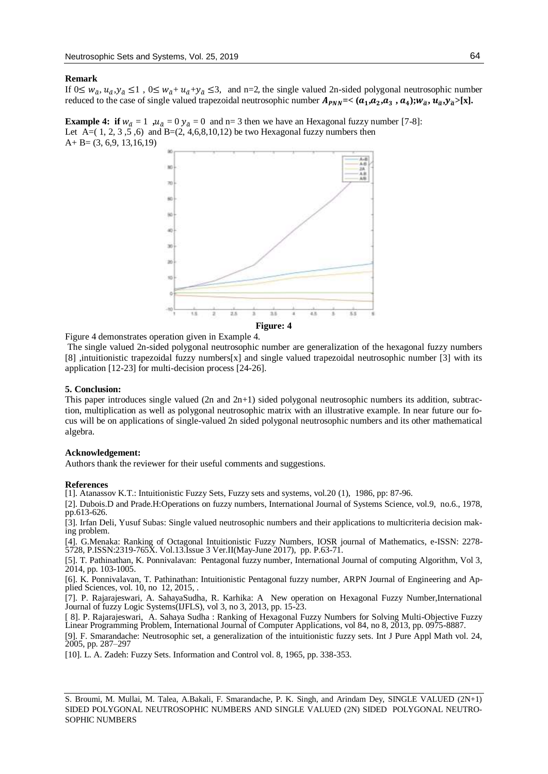#### **Remark**

If  $0 \leq w_{\tilde{a}}$ ,  $u_{\tilde{a}}$ ,  $y_{\tilde{a}} \leq 1$ ,  $0 \leq w_{\tilde{a}} + u_{\tilde{a}} + y_{\tilde{a}} \leq 3$ , and n=2, the single valued 2n-sided polygonal neutrosophic number reduced to the case of single valued trapezoidal neutrosophic number  $A_{PNN}$ =<  $(a_1, a_2, a_3, a_4);$  $w_{\tilde{a}}, u_{\tilde{a}}, y_{\tilde{a}}$ >[x].

**Example 4: if**  $w_{\tilde{a}} = 1$ ,  $u_{\tilde{a}} = 0$   $y_{\tilde{a}} = 0$  and n= 3 then we have an Hexagonal fuzzy number [7-8]: Let A= $(1, 2, 3, 5, 6)$  and B= $(2, 4, 6, 8, 10, 12)$  be two Hexagonal fuzzy numbers then  $A + B = (3, 6, 9, 13, 16, 19)$ 



Figure 4 demonstrates operation given in Example 4.

The single valued 2n-sided polygonal neutrosophic number are generalization of the hexagonal fuzzy numbers [8] ,intuitionistic trapezoidal fuzzy numbers[x] and single valued trapezoidal neutrosophic number [3] with its application [12-23] for multi-decision process [24-26].

### **5. Conclusion:**

This paper introduces single valued  $(2n \text{ and } 2n+1)$  sided polygonal neutrosophic numbers its addition, subtraction, multiplication as well as polygonal neutrosophic matrix with an illustrative example. In near future our focus will be on applications of single-valued 2n sided polygonal neutrosophic numbers and its other mathematical algebra.

#### **Acknowledgement:**

Authors thank the reviewer for their useful comments and suggestions.

#### **References**

[1]. Atanassov K.T.: Intuitionistic Fuzzy Sets, Fuzzy sets and systems, vol.20 (1), 1986, pp: 87-96.

[2]. Dubois.D and Prade.H:Operations on fuzzy numbers, International Journal of Systems Science, vol.9, no.6., 1978, pp.613-626.

[3]. Irfan Deli, Yusuf Subas: Single valued neutrosophic numbers and their applications to multicriteria decision making problem.

[4]. G.Menaka: Ranking of Octagonal Intuitionistic Fuzzy Numbers, IOSR journal of Mathematics, e-ISSN: 2278- 5728, P.ISSN:2319-765X. Vol.13.Issue 3 Ver.II(May-June 2017), pp. P.63-71.

[5]. T. Pathinathan, K. Ponnivalavan: Pentagonal fuzzy number, International Journal of computing Algorithm, Vol 3, 2014, pp. 103-1005.

[6]. K. Ponnivalavan, T. Pathinathan: Intuitionistic Pentagonal fuzzy number, ARPN Journal of Engineering and Applied Sciences, vol. 10, no 12, 2015, .

[7]. P. Rajarajeswari, A. SahayaSudha, R. Karhika: A New operation on Hexagonal Fuzzy Number,International Journal of fuzzy Logic Systems(IJFLS), vol 3, no 3, 2013, pp. 15-23.

[ 8]. P. Rajarajeswari, A. Sahaya Sudha : Ranking of Hexagonal Fuzzy Numbers for Solving Multi-Objective Fuzzy Linear Programming Problem, International Journal of Computer Applications, vol 84, no 8, 2013, pp. 0975-8887.

[9]. F. Smarandache: Neutrosophic set, a generalization of the intuitionistic fuzzy sets. Int J Pure Appl Math vol. 24, 2005, pp. 287–297

[10]. L. A. Zadeh: Fuzzy Sets. Information and Control vol. 8, 1965, pp. 338-353.

S. Broumi, M. Mullai, M. Talea, A.Bakali, F. Smarandache, P. K. Singh, and Arindam Dey, SINGLE VALUED (2N+1) SIDED POLYGONAL NEUTROSOPHIC NUMBERS AND SINGLE VALUED (2N) SIDED POLYGONAL NEUTRO-SOPHIC NUMBERS